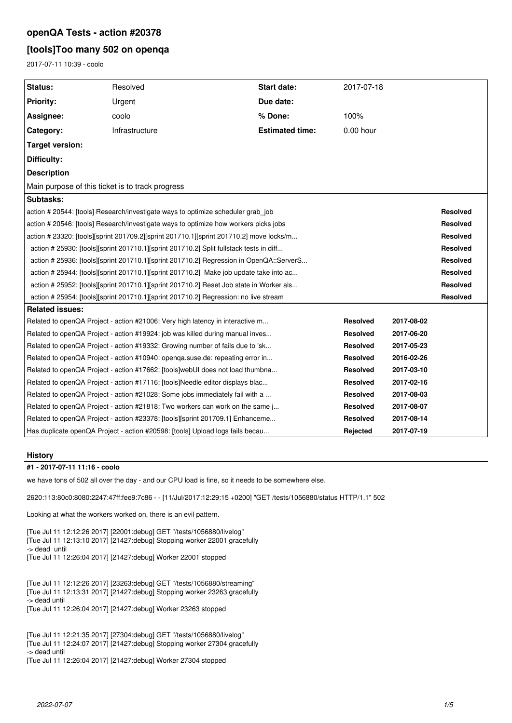# **openQA Tests - action #20378**

# **[tools]Too many 502 on openqa**

2017-07-11 10:39 - coolo

| Status:                                                                                 | Resolved       | Start date:            | 2017-07-18      |            |                 |  |  |
|-----------------------------------------------------------------------------------------|----------------|------------------------|-----------------|------------|-----------------|--|--|
| <b>Priority:</b>                                                                        | Urgent         | Due date:              |                 |            |                 |  |  |
| Assignee:                                                                               | coolo          | % Done:                | 100%            |            |                 |  |  |
| Category:                                                                               | Infrastructure | <b>Estimated time:</b> | $0.00$ hour     |            |                 |  |  |
| Target version:                                                                         |                |                        |                 |            |                 |  |  |
|                                                                                         |                |                        |                 |            |                 |  |  |
| Difficulty:                                                                             |                |                        |                 |            |                 |  |  |
| <b>Description</b>                                                                      |                |                        |                 |            |                 |  |  |
| Main purpose of this ticket is to track progress                                        |                |                        |                 |            |                 |  |  |
| Subtasks:                                                                               |                |                        |                 |            |                 |  |  |
| action # 20544: [tools] Research/investigate ways to optimize scheduler grab_job        |                |                        |                 |            | Resolved        |  |  |
| action # 20546: [tools] Research/investigate ways to optimize how workers picks jobs    |                |                        |                 |            | <b>Resolved</b> |  |  |
| action # 23320: [tools][sprint 201709.2][sprint 201710.1][sprint 201710.2] move locks/m |                |                        |                 |            | <b>Resolved</b> |  |  |
| action # 25930: [tools][sprint 201710.1][sprint 201710.2] Split fullstack tests in diff |                |                        |                 |            | <b>Resolved</b> |  |  |
| action # 25936: [tools][sprint 201710.1][sprint 201710.2] Regression in OpenQA::ServerS |                |                        |                 |            | Resolved        |  |  |
| action # 25944: [tools][sprint 201710.1][sprint 201710.2] Make job update take into ac  |                |                        |                 |            | Resolved        |  |  |
| action # 25952: [tools][sprint 201710.1][sprint 201710.2] Reset Job state in Worker als |                |                        |                 |            | Resolved        |  |  |
| action # 25954: [tools][sprint 201710.1][sprint 201710.2] Regression: no live stream    |                |                        |                 |            | Resolved        |  |  |
| <b>Related issues:</b>                                                                  |                |                        |                 |            |                 |  |  |
| Related to openQA Project - action #21006: Very high latency in interactive m           |                |                        | <b>Resolved</b> | 2017-08-02 |                 |  |  |
| Related to openQA Project - action #19924: job was killed during manual inves           |                |                        | <b>Resolved</b> | 2017-06-20 |                 |  |  |
| Related to openQA Project - action #19332: Growing number of fails due to 'sk           |                |                        | <b>Resolved</b> | 2017-05-23 |                 |  |  |
| Related to openQA Project - action #10940: openga.suse.de: repeating error in           |                |                        | <b>Resolved</b> | 2016-02-26 |                 |  |  |
| Related to openQA Project - action #17662: [tools]webUI does not load thumbna           |                |                        | Resolved        | 2017-03-10 |                 |  |  |
| Related to openQA Project - action #17116: [tools]Needle editor displays blac           |                |                        | Resolved        | 2017-02-16 |                 |  |  |
| Related to openQA Project - action #21028: Some jobs immediately fail with a            |                |                        | Resolved        | 2017-08-03 |                 |  |  |
| Related to openQA Project - action #21818: Two workers can work on the same j           |                |                        | Resolved        | 2017-08-07 |                 |  |  |
| Related to openQA Project - action #23378: [tools][sprint 201709.1] Enhanceme           |                |                        | <b>Resolved</b> | 2017-08-14 |                 |  |  |
| Has duplicate openQA Project - action #20598: [tools] Upload logs fails becau           |                |                        | Rejected        | 2017-07-19 |                 |  |  |

## **History**

#### **#1 - 2017-07-11 11:16 - coolo**

we have tons of 502 all over the day - and our CPU load is fine, so it needs to be somewhere else.

2620:113:80c0:8080:2247:47ff:fee9:7c86 - - [11/Jul/2017:12:29:15 +0200] "GET /tests/1056880/status HTTP/1.1" 502

Looking at what the workers worked on, there is an evil pattern.

[Tue Jul 11 12:12:26 2017] [22001:debug] GET "/tests/1056880/livelog" [Tue Jul 11 12:13:10 2017] [21427:debug] Stopping worker 22001 gracefully -> dead until [Tue Jul 11 12:26:04 2017] [21427:debug] Worker 22001 stopped

[Tue Jul 11 12:12:26 2017] [23263:debug] GET "/tests/1056880/streaming" [Tue Jul 11 12:13:31 2017] [21427:debug] Stopping worker 23263 gracefully -> dead until [Tue Jul 11 12:26:04 2017] [21427:debug] Worker 23263 stopped

[Tue Jul 11 12:21:35 2017] [27304:debug] GET "/tests/1056880/livelog" [Tue Jul 11 12:24:07 2017] [21427:debug] Stopping worker 27304 gracefully -> dead until [Tue Jul 11 12:26:04 2017] [21427:debug] Worker 27304 stopped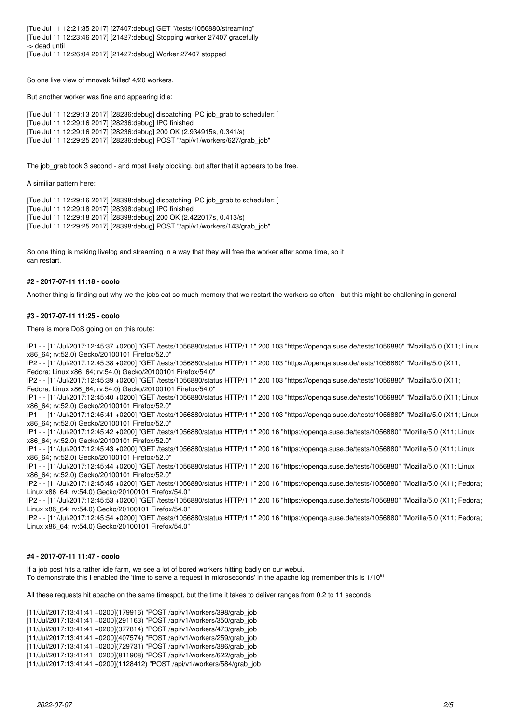[Tue Jul 11 12:21:35 2017] [27407:debug] GET "/tests/1056880/streaming" [Tue Jul 11 12:23:46 2017] [21427:debug] Stopping worker 27407 gracefully -> dead until [Tue Jul 11 12:26:04 2017] [21427:debug] Worker 27407 stopped

So one live view of mnovak 'killed' 4/20 workers.

But another worker was fine and appearing idle:

```
[Tue Jul 11 12:29:13 2017] [28236:debug] dispatching IPC job_grab to scheduler: [
[Tue Jul 11 12:29:16 2017] [28236:debug] IPC finished
[Tue Jul 11 12:29:16 2017] [28236:debug] 200 OK (2.934915s, 0.341/s)
[Tue Jul 11 12:29:25 2017] [28236:debug] POST "/api/v1/workers/627/grab_job"
```
The job\_grab took 3 second - and most likely blocking, but after that it appears to be free.

A similiar pattern here:

[Tue Jul 11 12:29:16 2017] [28398:debug] dispatching IPC job\_grab to scheduler: [ [Tue Jul 11 12:29:18 2017] [28398:debug] IPC finished [Tue Jul 11 12:29:18 2017] [28398:debug] 200 OK (2.422017s, 0.413/s) [Tue Jul 11 12:29:25 2017] [28398:debug] POST "/api/v1/workers/143/grab\_job"

So one thing is making livelog and streaming in a way that they will free the worker after some time, so it can restart.

#### **#2 - 2017-07-11 11:18 - coolo**

Another thing is finding out why we the jobs eat so much memory that we restart the workers so often - but this might be challening in general

## **#3 - 2017-07-11 11:25 - coolo**

There is more DoS going on on this route:

IP1 - - [11/Jul/2017:12:45:37 +0200] "GET /tests/1056880/status HTTP/1.1" 200 103 "https://openqa.suse.de/tests/1056880" "Mozilla/5.0 (X11; Linux x86\_64; rv:52.0) Gecko/20100101 Firefox/52.0"

IP2 - - [11/Jul/2017:12:45:38 +0200] "GET /tests/1056880/status HTTP/1.1" 200 103 "https://openqa.suse.de/tests/1056880" "Mozilla/5.0 (X11; Fedora; Linux x86\_64; rv:54.0) Gecko/20100101 Firefox/54.0"

IP2 - - [11/Jul/2017:12:45:39 +0200] "GET /tests/1056880/status HTTP/1.1" 200 103 "https://openqa.suse.de/tests/1056880" "Mozilla/5.0 (X11; Fedora; Linux x86\_64; rv:54.0) Gecko/20100101 Firefox/54.0"

IP1 - - [11/Jul/2017:12:45:40 +0200] "GET /tests/1056880/status HTTP/1.1" 200 103 "https://openqa.suse.de/tests/1056880" "Mozilla/5.0 (X11; Linux x86\_64; rv:52.0) Gecko/20100101 Firefox/52.0"

IP1 - - [11/Jul/2017:12:45:41 +0200] "GET /tests/1056880/status HTTP/1.1" 200 103 "https://openqa.suse.de/tests/1056880" "Mozilla/5.0 (X11; Linux x86\_64; rv:52.0) Gecko/20100101 Firefox/52.0"

IP1 - - [11/Jul/2017:12:45:42 +0200] "GET /tests/1056880/status HTTP/1.1" 200 16 "https://openqa.suse.de/tests/1056880" "Mozilla/5.0 (X11; Linux x86\_64; rv:52.0) Gecko/20100101 Firefox/52.0"

IP1 - - [11/Jul/2017:12:45:43 +0200] "GET /tests/1056880/status HTTP/1.1" 200 16 "https://openqa.suse.de/tests/1056880" "Mozilla/5.0 (X11; Linux x86\_64; rv:52.0) Gecko/20100101 Firefox/52.0"

IP1 - - [11/Jul/2017:12:45:44 +0200] "GET /tests/1056880/status HTTP/1.1" 200 16 "https://openqa.suse.de/tests/1056880" "Mozilla/5.0 (X11; Linux x86\_64; rv:52.0) Gecko/20100101 Firefox/52.0"

IP2 - - [11/Jul/2017:12:45:45 +0200] "GET /tests/1056880/status HTTP/1.1" 200 16 "https://openqa.suse.de/tests/1056880" "Mozilla/5.0 (X11; Fedora; Linux x86\_64; rv:54.0) Gecko/20100101 Firefox/54.0"

IP2 - - [11/Jul/2017:12:45:53 +0200] "GET /tests/1056880/status HTTP/1.1" 200 16 "https://openqa.suse.de/tests/1056880" "Mozilla/5.0 (X11; Fedora; Linux x86\_64; rv:54.0) Gecko/20100101 Firefox/54.0"

IP2 - - [11/Jul/2017:12:45:54 +0200] "GET /tests/1056880/status HTTP/1.1" 200 16 "https://openqa.suse.de/tests/1056880" "Mozilla/5.0 (X11; Fedora; Linux x86\_64; rv:54.0) Gecko/20100101 Firefox/54.0"

#### **#4 - 2017-07-11 11:47 - coolo**

If a job post hits a rather idle farm, we see a lot of bored workers hitting badly on our webui.

To demonstrate this I enabled the 'time to serve a request in microseconds' in the apache log (remember this is  $1/10^6$ )

All these requests hit apache on the same timespot, but the time it takes to deliver ranges from 0.2 to 11 seconds

[11/Jul/2017:13:41:41 +0200](179916) "POST /api/v1/workers/398/grab\_job [11/Jul/2017:13:41:41 +0200](291163) "POST /api/v1/workers/350/grab\_job [11/Jul/2017:13:41:41 +0200](377814) "POST /api/v1/workers/473/grab\_job [11/Jul/2017:13:41:41 +0200](407574) "POST /api/v1/workers/259/grab\_job [11/Jul/2017:13:41:41 +0200](729731) "POST /api/v1/workers/386/grab\_job [11/Jul/2017:13:41:41 +0200](811908) "POST /api/v1/workers/622/grab\_job [11/Jul/2017:13:41:41 +0200](1128412) "POST /api/v1/workers/584/grab\_job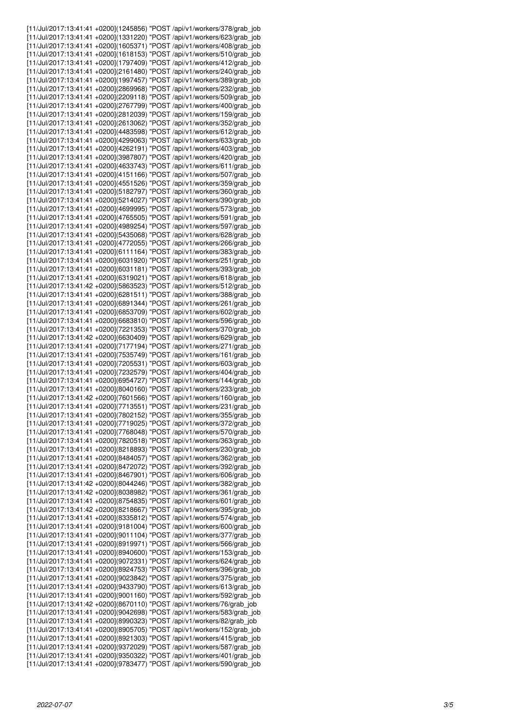|  | [11/Jul/2017:13:41:41 +0200](1245856) "POST /api/v1/workers/378/grab_job                                                                             |
|--|------------------------------------------------------------------------------------------------------------------------------------------------------|
|  | [11/Jul/2017:13:41:41 +0200](1331220) "POST /api/v1/workers/623/grab_job                                                                             |
|  | [11/Jul/2017:13:41:41 +0200](1605371) "POST /api/v1/workers/408/grab_job                                                                             |
|  | [11/Jul/2017:13:41:41 +0200](1618153) "POST /api/v1/workers/510/grab_job                                                                             |
|  | [11/Jul/2017:13:41:41 +0200](1797409) "POST /api/v1/workers/412/grab_job                                                                             |
|  | [11/Jul/2017:13:41:41 +0200](2161480) "POST /api/v1/workers/240/grab_job                                                                             |
|  | [11/Jul/2017:13:41:41 +0200](1997457) "POST /api/v1/workers/389/grab_job                                                                             |
|  | [11/Jul/2017:13:41:41 +0200](2869968) "POST /api/v1/workers/232/grab_job                                                                             |
|  | [11/Jul/2017:13:41:41 +0200](2209118) "POST /api/v1/workers/509/grab_job                                                                             |
|  | [11/Jul/2017:13:41:41 +0200](2767799) "POST /api/v1/workers/400/grab_job                                                                             |
|  | [11/Jul/2017:13:41:41 +0200](2812039) "POST /api/v1/workers/159/grab_job                                                                             |
|  | [11/Jul/2017:13:41:41 +0200](2613062) "POST /api/v1/workers/352/grab_job                                                                             |
|  | [11/Jul/2017:13:41:41 +0200](4483598) "POST /api/v1/workers/612/grab_job                                                                             |
|  | [11/Jul/2017:13:41:41 +0200](4299063) "POST /api/v1/workers/633/grab_job                                                                             |
|  | [11/Jul/2017:13:41:41 +0200](4262191) "POST /api/v1/workers/403/grab_job                                                                             |
|  | [11/Jul/2017:13:41:41 +0200](3987807) "POST /api/v1/workers/420/grab_job                                                                             |
|  | [11/Jul/2017:13:41:41 +0200](4633743) "POST /api/v1/workers/611/grab_job                                                                             |
|  | [11/Jul/2017:13:41:41 +0200](4151166) "POST /api/v1/workers/507/grab_job                                                                             |
|  | [11/Jul/2017:13:41:41 +0200](4551526) "POST /api/v1/workers/359/grab_job                                                                             |
|  | [11/Jul/2017:13:41:41 +0200](5182797) "POST /api/v1/workers/360/grab_job                                                                             |
|  | [11/Jul/2017:13:41:41 +0200](5214027) "POST /api/v1/workers/390/grab_job                                                                             |
|  | [11/Jul/2017:13:41:41 +0200](4699995) "POST /api/v1/workers/573/grab_job                                                                             |
|  | [11/Jul/2017:13:41:41 +0200](4765505) "POST /api/v1/workers/591/grab_job                                                                             |
|  | [11/Jul/2017:13:41:41 +0200](4989254) "POST /api/v1/workers/597/grab_job                                                                             |
|  | [11/Jul/2017:13:41:41 +0200](5435068) "POST /api/v1/workers/628/grab_job                                                                             |
|  | [11/Jul/2017:13:41:41 +0200](4772055) "POST /api/v1/workers/266/grab_job                                                                             |
|  | [11/Jul/2017:13:41:41 +0200](6111164) "POST /api/v1/workers/383/grab_job                                                                             |
|  | [11/Jul/2017:13:41:41 +0200](6031920) "POST /api/v1/workers/251/grab_job                                                                             |
|  | [11/Jul/2017:13:41:41 +0200](6031181) "POST /api/v1/workers/393/grab_job                                                                             |
|  | [11/Jul/2017:13:41:41 +0200](6319021) "POST /api/v1/workers/618/grab_job                                                                             |
|  | [11/Jul/2017:13:41:42 +0200](5863523) "POST /api/v1/workers/512/grab_job                                                                             |
|  | [11/Jul/2017:13:41:41 +0200](6281511) "POST /api/v1/workers/388/grab_job                                                                             |
|  | [11/Jul/2017:13:41:41 +0200](6891344) "POST /api/v1/workers/261/grab_job                                                                             |
|  | [11/Jul/2017:13:41:41 +0200](6853709) "POST /api/v1/workers/602/grab_job                                                                             |
|  | [11/Jul/2017:13:41:41 +0200](6683810) "POST /api/v1/workers/596/grab_job                                                                             |
|  | [11/Jul/2017:13:41:41 +0200](7221353) "POST /api/v1/workers/370/grab_job                                                                             |
|  |                                                                                                                                                      |
|  | [11/Jul/2017:13:41:42 +0200](6630409) "POST /api/v1/workers/629/grab_job                                                                             |
|  | [11/Jul/2017:13:41:41 +0200](7177194) "POST /api/v1/workers/271/grab_job                                                                             |
|  | [11/Jul/2017:13:41:41 +0200](7535749) "POST /api/v1/workers/161/grab_job                                                                             |
|  | [11/Jul/2017:13:41:41 +0200](7205531) "POST /api/v1/workers/603/grab_job                                                                             |
|  | [11/Jul/2017:13:41:41 +0200](7232579) "POST /api/v1/workers/404/grab_job                                                                             |
|  | [11/Jul/2017:13:41:41 +0200](6954727) "POST /api/v1/workers/144/grab_job                                                                             |
|  | [11/Jul/2017:13:41:41 +0200](8040160) "POST /api/v1/workers/233/grab_job                                                                             |
|  | [11/Jul/2017:13:41:42 +0200](7601566) "POST /api/v1/workers/160/grab_job                                                                             |
|  | [11/Jul/2017:13:41:41 +0200](7713551) "POST /api/v1/workers/231/grab_job                                                                             |
|  | [11/Jul/2017:13:41:41 +0200](7802152) "POST /api/v1/workers/355/grab_job                                                                             |
|  | [11/Jul/2017:13:41:41 +0200](7719025) "POST /api/v1/workers/372/grab_job                                                                             |
|  | [11/Jul/2017:13:41:41 +0200](7768048) "POST /api/v1/workers/570/grab_job                                                                             |
|  | [11/Jul/2017:13:41:41 +0200](7820518) "POST /api/v1/workers/363/grab_job                                                                             |
|  | [11/Jul/2017:13:41:41 +0200](8218893) "POST /api/v1/workers/230/grab_job                                                                             |
|  | [11/Jul/2017:13:41:41 +0200](8484057) "POST /api/v1/workers/362/grab_job                                                                             |
|  | [11/Jul/2017:13:41:41 +0200](8472072) "POST /api/v1/workers/392/grab_job                                                                             |
|  | [11/Jul/2017:13:41:41 +0200](8467901) "POST /api/v1/workers/606/grab_job                                                                             |
|  | [11/Jul/2017:13:41:42 +0200](8044246) "POST /api/v1/workers/382/grab_job                                                                             |
|  | [11/Jul/2017:13:41:42 +0200](8038982) "POST /api/v1/workers/361/grab_job                                                                             |
|  | [11/Jul/2017:13:41:41 +0200](8754835) "POST /api/v1/workers/601/grab_job                                                                             |
|  | [11/Jul/2017:13:41:42 +0200](8218667) "POST /api/v1/workers/395/grab_job                                                                             |
|  | [11/Jul/2017:13:41:41 +0200](8335812) "POST /api/v1/workers/574/grab_job                                                                             |
|  | [11/Jul/2017:13:41:41 +0200](9181004) "POST /api/v1/workers/600/grab_job                                                                             |
|  | [11/Jul/2017:13:41:41 +0200](9011104) "POST /api/v1/workers/377/grab_job                                                                             |
|  | [11/Jul/2017:13:41:41 +0200](8919971) "POST /api/v1/workers/566/grab_job                                                                             |
|  | [11/Jul/2017:13:41:41 +0200](8940600) "POST /api/v1/workers/153/grab_job                                                                             |
|  | [11/Jul/2017:13:41:41 +0200](9072331) "POST /api/v1/workers/624/grab_job                                                                             |
|  | [11/Jul/2017:13:41:41 +0200](8924753) "POST /api/v1/workers/396/grab_job                                                                             |
|  | [11/Jul/2017:13:41:41 +0200](9023842) "POST /api/v1/workers/375/grab_job                                                                             |
|  | [11/Jul/2017:13:41:41 +0200](9433790) "POST /api/v1/workers/613/grab_job                                                                             |
|  | [11/Jul/2017:13:41:41 +0200](9001160) "POST /api/v1/workers/592/grab_job                                                                             |
|  | [11/Jul/2017:13:41:42 +0200](8670110) "POST /api/v1/workers/76/grab_job                                                                              |
|  | [11/Jul/2017:13:41:41 +0200](9042698) "POST /api/v1/workers/583/grab_job                                                                             |
|  | [11/Jul/2017:13:41:41 +0200](8990323) "POST /api/v1/workers/82/grab_job                                                                              |
|  | [11/Jul/2017:13:41:41 +0200](8905705) "POST /api/v1/workers/152/grab_job                                                                             |
|  | [11/Jul/2017:13:41:41 +0200](8921303) "POST /api/v1/workers/415/grab_job                                                                             |
|  | [11/Jul/2017:13:41:41 +0200](9372029) "POST /api/v1/workers/587/grab_job                                                                             |
|  | [11/Jul/2017:13:41:41 +0200](9350322) "POST /api/v1/workers/401/grab_job<br>[11/Jul/2017:13:41:41 +0200](9783477) "POST /api/v1/workers/590/grab_job |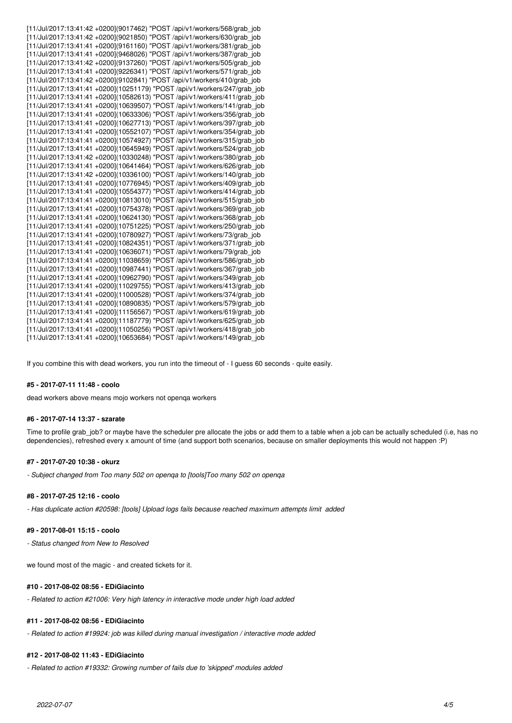| [11/Jul/2017:13:41:42 +0200](9017462) "POST /api/v1/workers/568/grab_job  |
|---------------------------------------------------------------------------|
| [11/Jul/2017:13:41:42 +0200](9021850) "POST /api/v1/workers/630/grab_job  |
| [11/Jul/2017:13:41:41 +0200](9161160) "POST /api/v1/workers/381/grab job  |
| [11/Jul/2017:13:41:41 +0200](9468026) "POST /api/v1/workers/387/grab_job  |
| [11/Jul/2017:13:41:42 +0200](9137260) "POST /api/v1/workers/505/grab job  |
| [11/Jul/2017:13:41:41 +0200](9226341) "POST /api/v1/workers/571/grab job  |
| [11/Jul/2017:13:41:42 +0200](9102841) "POST /api/v1/workers/410/grab job  |
| [11/Jul/2017:13:41:41 +0200](10251179) "POST /api/v1/workers/247/grab job |
| [11/Jul/2017:13:41:41 +0200](10582613) "POST /api/v1/workers/411/grab_job |
| [11/Jul/2017:13:41:41 +0200](10639507) "POST /api/v1/workers/141/grab job |
| [11/Jul/2017:13:41:41 +0200](10633306) "POST /api/v1/workers/356/grab_job |
| [11/Jul/2017:13:41:41 +0200](10627713) "POST /api/v1/workers/397/grab job |
| [11/Jul/2017:13:41:41 +0200](10552107) "POST /api/v1/workers/354/grab job |
| [11/Jul/2017:13:41:41 +0200](10574927) "POST /api/v1/workers/315/grab_job |
| [11/Jul/2017:13:41:41 +0200](10645949) "POST /api/v1/workers/524/grab job |
| [11/Jul/2017:13:41:42 +0200](10330248) "POST /api/v1/workers/380/grab job |
| [11/Jul/2017:13:41:41 +0200](10641464) "POST /api/v1/workers/626/grab job |
| [11/Jul/2017:13:41:42 +0200](10336100) "POST /api/v1/workers/140/grab_job |
| [11/Jul/2017:13:41:41 +0200](10776945) "POST /api/v1/workers/409/grab job |
| [11/Jul/2017:13:41:41 +0200](10554377) "POST /api/v1/workers/414/grab_job |
| [11/Jul/2017:13:41:41 +0200](10813010) "POST /api/v1/workers/515/grab job |
| [11/Jul/2017:13:41:41 +0200](10754378) "POST /api/v1/workers/369/grab job |
| [11/Jul/2017:13:41:41 +0200](10624130) "POST /api/v1/workers/368/grab_job |
| [11/Jul/2017:13:41:41 +0200](10751225) "POST /api/v1/workers/250/grab job |
| [11/Jul/2017:13:41:41 +0200](10780927) "POST /api/v1/workers/73/grab job  |
| [11/Jul/2017:13:41:41 +0200](10824351) "POST /api/v1/workers/371/grab job |
| [11/Jul/2017:13:41:41 +0200](10636071) "POST /api/v1/workers/79/grab_job  |
| [11/Jul/2017:13:41:41 +0200](11038659) "POST /api/v1/workers/586/grab job |
| [11/Jul/2017:13:41:41 +0200](10987441) "POST /api/v1/workers/367/grab_job |
| [11/Jul/2017:13:41:41 +0200](10962790) "POST /api/v1/workers/349/grab_job |
| [11/Jul/2017:13:41:41 +0200](11029755) "POST /api/v1/workers/413/grab job |
| [11/Jul/2017:13:41:41 +0200](11000528) "POST /api/v1/workers/374/grab_job |
| [11/Jul/2017:13:41:41 +0200](10890835) "POST /api/v1/workers/579/grab job |
| [11/Jul/2017:13:41:41 +0200](11156567) "POST /api/v1/workers/619/grab_job |
| [11/Jul/2017:13:41:41 +0200](11187779) "POST /api/v1/workers/625/grab_job |
| [11/Jul/2017:13:41:41 +0200](11050256) "POST /api/v1/workers/418/grab_job |
| [11/Jul/2017:13:41:41 +0200](10653684) "POST /api/v1/workers/149/grab_job |

If you combine this with dead workers, you run into the timeout of - I guess 60 seconds - quite easily.

### **#5 - 2017-07-11 11:48 - coolo**

dead workers above means mojo workers not openqa workers

#### **#6 - 2017-07-14 13:37 - szarate**

Time to profile grab\_job? or maybe have the scheduler pre allocate the jobs or add them to a table when a job can be actually scheduled (i.e, has no dependencies), refreshed every x amount of time (and support both scenarios, because on smaller deployments this would not happen :P)

#### **#7 - 2017-07-20 10:38 - okurz**

*- Subject changed from Too many 502 on openqa to [tools]Too many 502 on openqa*

#### **#8 - 2017-07-25 12:16 - coolo**

*- Has duplicate action #20598: [tools] Upload logs fails because reached maximum attempts limit added*

## **#9 - 2017-08-01 15:15 - coolo**

*- Status changed from New to Resolved*

we found most of the magic - and created tickets for it.

## **#10 - 2017-08-02 08:56 - EDiGiacinto**

*- Related to action #21006: Very high latency in interactive mode under high load added*

## **#11 - 2017-08-02 08:56 - EDiGiacinto**

*- Related to action #19924: job was killed during manual investigation / interactive mode added*

## **#12 - 2017-08-02 11:43 - EDiGiacinto**

*- Related to action #19332: Growing number of fails due to 'skipped' modules added*